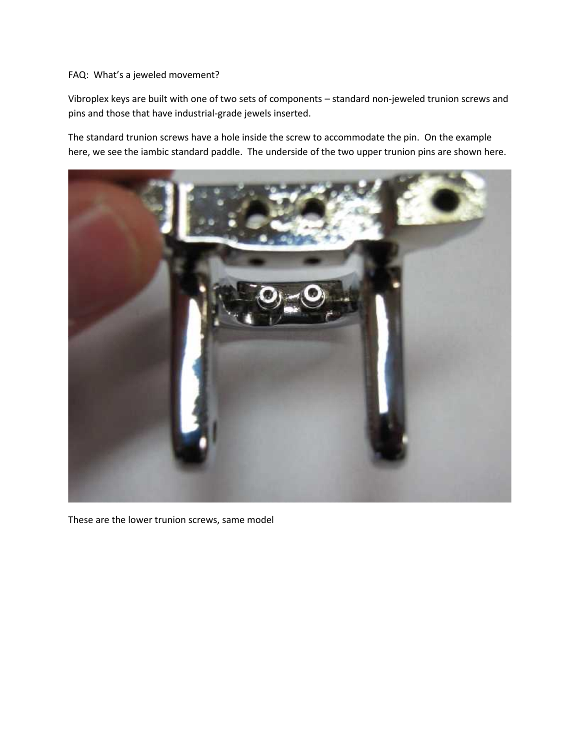## FAQ: What's a jeweled movement?

Vibroplex keys are built with one of two sets of components – standard non-jeweled trunion screws and pins and those that have industrial-grade jewels inserted.

The standard trunion screws have a hole inside the screw to accommodate the pin. On the example here, we see the iambic standard paddle. The underside of the two upper trunion pins are shown here.



These are the lower trunion screws, same model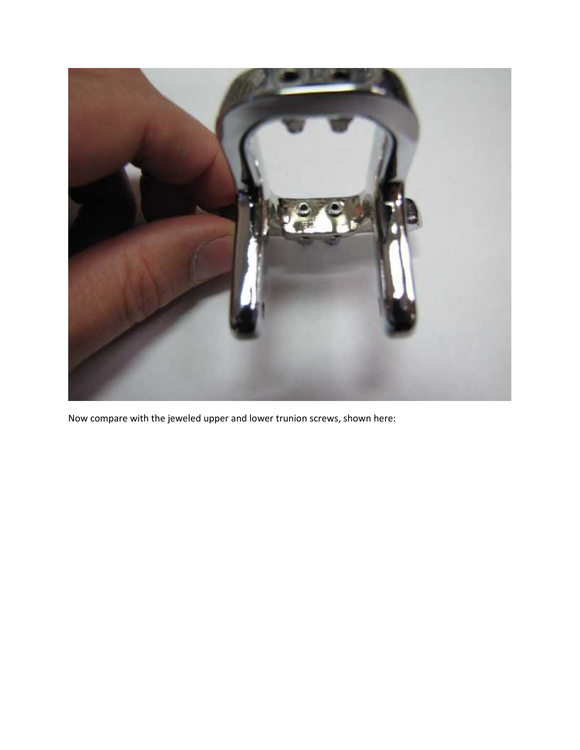

Now compare with the jeweled upper and lower trunion screws, shown here: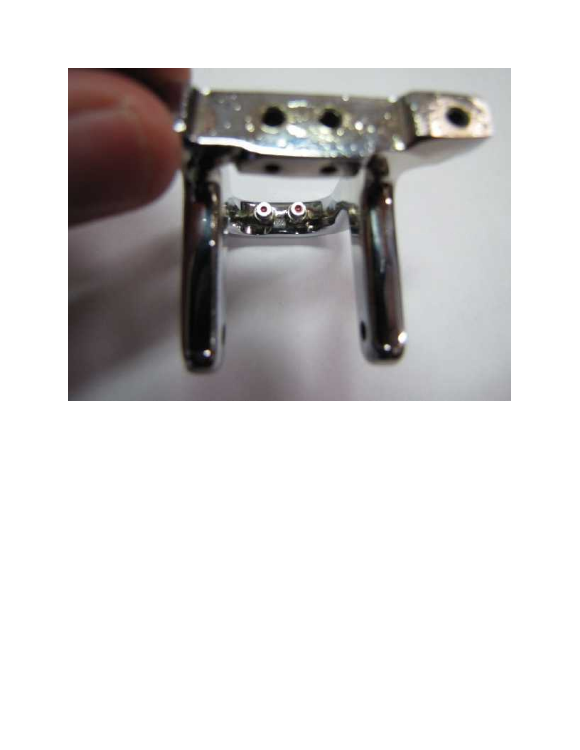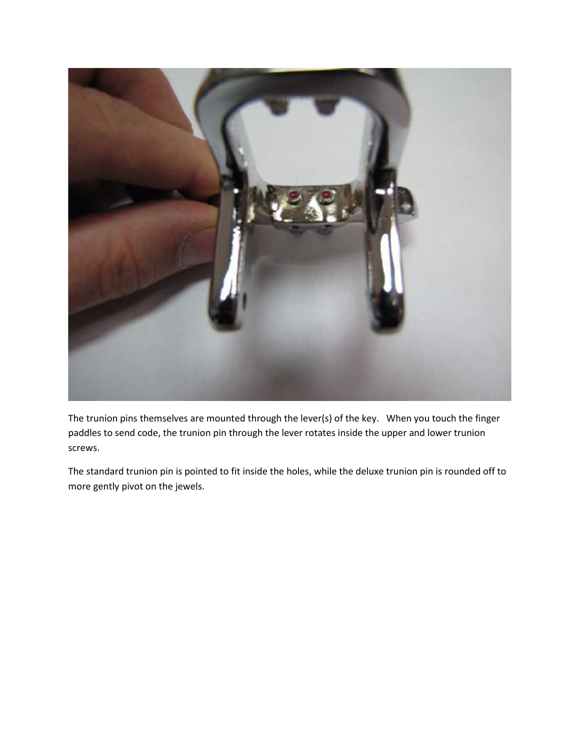

The trunion pins themselves are mounted through the lever(s) of the key. When you touch the finger paddles to send code, the trunion pin through the lever rotates inside the upper and lower trunion screws.

The standard trunion pin is pointed to fit inside the holes, while the deluxe trunion pin is rounded off to more gently pivot on the jewels.